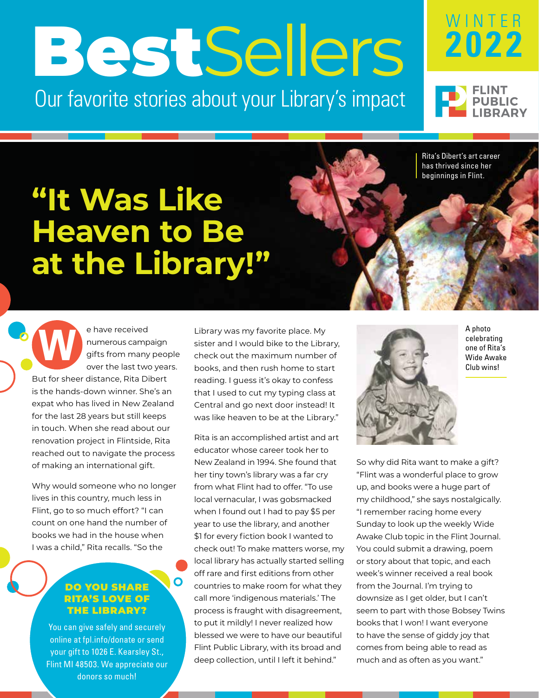# BestSellers

Our favorite stories about your Library's impact



Rita's Dibert's art career has thrived since her beginnings in Flint.

WINTER

**2022**

# **"It Was Like Heaven to Be at the Library!"**

e have received numerous campaign gifts from many people over the last two years. But for sheer distance, Rita Dibert is the hands-down winner. She's an expat who has lived in New Zealand for the last 28 years but still keeps in touch. When she read about our renovation project in Flintside, Rita reached out to navigate the process of making an international gift. **W**

Why would someone who no longer lives in this country, much less in Flint, go to so much effort? "I can count on one hand the number of books we had in the house when I was a child," Rita recalls. "So the

## DO YOU SHARE RITA'S LOVE OF THE LIBRARY?

 $\overline{\mathbf{O}}$ 

You can give safely and securely online at fpl.info/donate or send your gift to 1026 E. Kearsley St., Flint MI 48503. We appreciate our donors so much!

Library was my favorite place. My sister and I would bike to the Library, check out the maximum number of books, and then rush home to start reading. I guess it's okay to confess that I used to cut my typing class at Central and go next door instead! It was like heaven to be at the Library."

Rita is an accomplished artist and art educator whose career took her to New Zealand in 1994. She found that her tiny town's library was a far cry from what Flint had to offer. "To use local vernacular, I was gobsmacked when I found out I had to pay \$5 per year to use the library, and another \$1 for every fiction book I wanted to check out! To make matters worse, my local library has actually started selling off rare and first editions from other countries to make room for what they call more 'indigenous materials.' The process is fraught with disagreement, to put it mildly! I never realized how blessed we were to have our beautiful Flint Public Library, with its broad and deep collection, until I left it behind."



A photo celebrating one of Rita's Wide Awake Club wins!

So why did Rita want to make a gift? "Flint was a wonderful place to grow up, and books were a huge part of my childhood," she says nostalgically. "I remember racing home every Sunday to look up the weekly Wide Awake Club topic in the Flint Journal. You could submit a drawing, poem or story about that topic, and each week's winner received a real book from the Journal. I'm trying to downsize as I get older, but I can't seem to part with those Bobsey Twins books that I won! I want everyone to have the sense of giddy joy that comes from being able to read as much and as often as you want."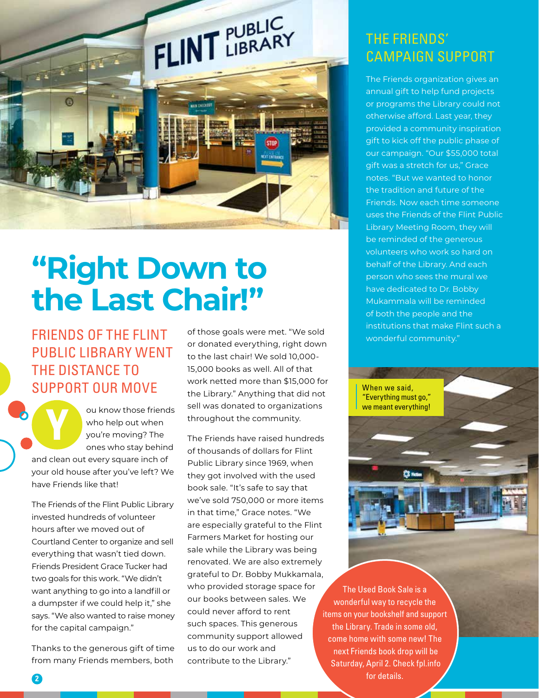

## **"Right Down to the Last Chair!"**

FRIENDS OF THE FLINT PUBLIC LIBRARY WENT THE DISTANCE TO SUPPORT OUR MOVE

ou know those friends who help out when you're moving? The ones who stay behind and clean out every square inch of your old house after you've left? We have Friends like that! **Y**

The Friends of the Flint Public Library invested hundreds of volunteer hours after we moved out of Courtland Center to organize and sell everything that wasn't tied down. Friends President Grace Tucker had two goals for this work. "We didn't want anything to go into a landfill or a dumpster if we could help it," she says. "We also wanted to raise money for the capital campaign."

Thanks to the generous gift of time from many Friends members, both

**2**

of those goals were met. "We sold or donated everything, right down to the last chair! We sold 10,000- 15,000 books as well. All of that work netted more than \$15,000 for the Library." Anything that did not sell was donated to organizations throughout the community.

The Friends have raised hundreds of thousands of dollars for Flint Public Library since 1969, when they got involved with the used book sale. "It's safe to say that we've sold 750,000 or more items in that time," Grace notes. "We are especially grateful to the Flint Farmers Market for hosting our sale while the Library was being renovated. We are also extremely grateful to Dr. Bobby Mukkamala, who provided storage space for our books between sales. We could never afford to rent such spaces. This generous community support allowed us to do our work and contribute to the Library."

## THE FRIENDS' CAMPAIGN SUPPORT

The Friends organization gives an annual gift to help fund projects or programs the Library could not otherwise afford. Last year, they provided a community inspiration gift to kick off the public phase of our campaign. "Our \$55,000 total gift was a stretch for us," Grace notes. "But we wanted to honor the tradition and future of the Friends. Now each time someone uses the Friends of the Flint Public Library Meeting Room, they will be reminded of the generous volunteers who work so hard on behalf of the Library. And each person who sees the mural we have dedicated to Dr. Bobby Mukammala will be reminded of both the people and the institutions that make Flint such a wonderful community."



The Used Book Sale is a wonderful way to recycle the items on your bookshelf and support the Library. Trade in some old, come home with some new! The next Friends book drop will be Saturday, April 2. Check fpl.info for details.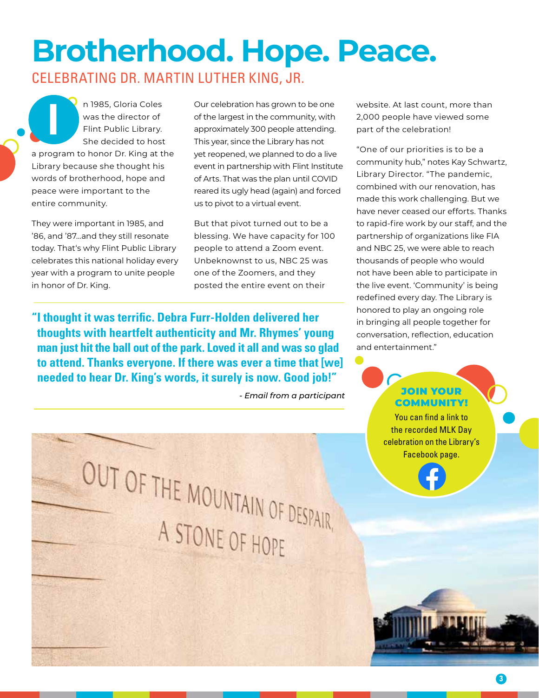## **Brotherhood. Hope. Peace.** CELEBRATING DR. MARTIN LUTHER KING, JR.

n 1985, Gloria Coles was the director of Flint Public Library. She decided to host a program to honor Dr. King at the Library because she thought his words of brotherhood, hope and peace were important to the entire community. **I**

They were important in 1985, and '86, and '87…and they still resonate today. That's why Flint Public Library celebrates this national holiday every year with a program to unite people in honor of Dr. King.

Our celebration has grown to be one of the largest in the community, with approximately 300 people attending. This year, since the Library has not yet reopened, we planned to do a live event in partnership with Flint Institute of Arts. That was the plan until COVID reared its ugly head (again) and forced us to pivot to a virtual event.

But that pivot turned out to be a blessing. We have capacity for 100 people to attend a Zoom event. Unbeknownst to us, NBC 25 was one of the Zoomers, and they posted the entire event on their

**"I thought it was terrific. Debra Furr-Holden delivered her thoughts with heartfelt authenticity and Mr. Rhymes' young man just hit the ball out of the park. Loved it all and was so glad to attend. Thanks everyone. If there was ever a time that [we] needed to hear Dr. King's words, it surely is now. Good job!"**

website. At last count, more than 2,000 people have viewed some part of the celebration!

"One of our priorities is to be a community hub," notes Kay Schwartz, Library Director. "The pandemic, combined with our renovation, has made this work challenging. But we have never ceased our efforts. Thanks to rapid-fire work by our staff, and the partnership of organizations like FIA and NBC 25, we were able to reach thousands of people who would not have been able to participate in the live event. 'Community' is being redefined every day. The Library is honored to play an ongoing role in bringing all people together for conversation, reflection, education and entertainment."

## *- Email from a participant* JOIN YOUR COMMUNITY!

You can find a link to the recorded MLK Day celebration on the Library's Facebook page.

OUT OF THE MOUNTAIN OF DESPAIR A STONE OF HOPE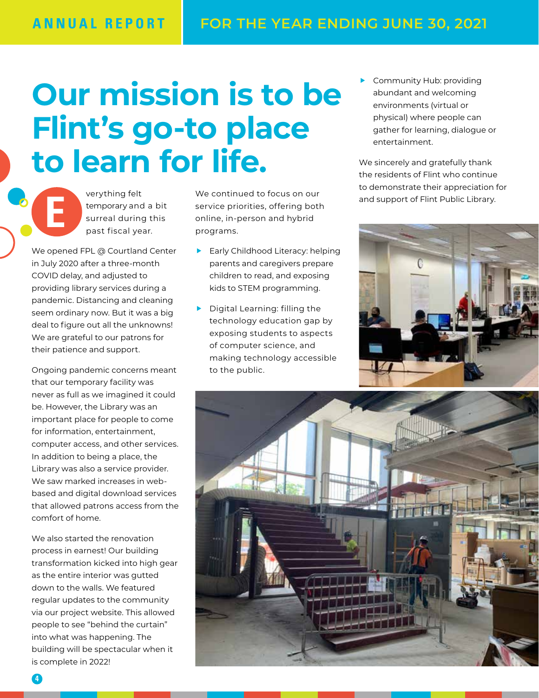# **Our mission is to be Flint's go-to place to learn for life.**

verything felt temporary and a bit surreal during this past fiscal year.

We opened FPL @ Courtland Center in July 2020 after a three-month COVID delay, and adjusted to providing library services during a pandemic. Distancing and cleaning seem ordinary now. But it was a big deal to figure out all the unknowns! We are grateful to our patrons for their patience and support.

**E**

Ongoing pandemic concerns meant that our temporary facility was never as full as we imagined it could be. However, the Library was an important place for people to come for information, entertainment, computer access, and other services. In addition to being a place, the Library was also a service provider. We saw marked increases in webbased and digital download services that allowed patrons access from the comfort of home.

We also started the renovation process in earnest! Our building transformation kicked into high gear as the entire interior was gutted down to the walls. We featured regular updates to the community via our project website. This allowed people to see "behind the curtain" into what was happening. The building will be spectacular when it is complete in 2022!

We continued to focus on our service priorities, offering both online, in-person and hybrid programs.

- $\blacktriangleright$  Early Childhood Literacy: helping parents and caregivers prepare children to read, and exposing kids to STEM programming.
- $\blacktriangleright$  Digital Learning: filling the technology education gap by exposing students to aspects of computer science, and making technology accessible to the public.

Community Hub: providing abundant and welcoming environments (virtual or physical) where people can gather for learning, dialogue or entertainment.

We sincerely and gratefully thank the residents of Flint who continue to demonstrate their appreciation for and support of Flint Public Library.



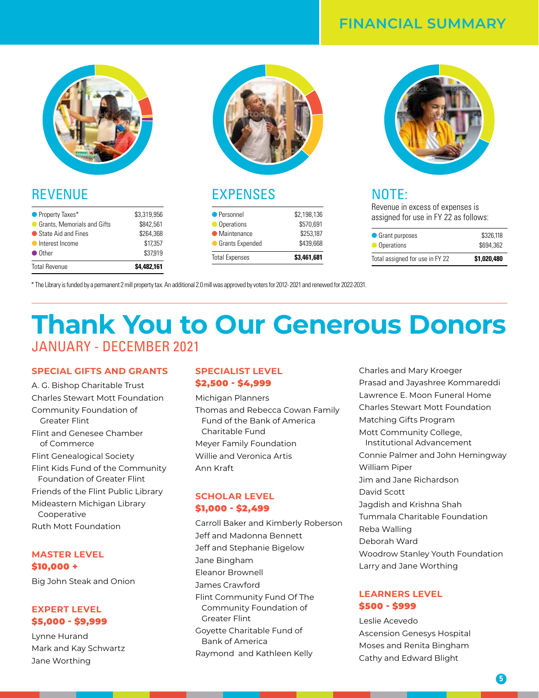## **FINANCIAL SUMMARY**



## REVENUE

| $\bullet$ Other               | \$37.919    |
|-------------------------------|-------------|
| Interest Income               | \$17,357    |
| ● State Aid and Fines         | \$264.368   |
| ● Grants, Memorials and Gifts | \$842.561   |
| • Property Taxes*             | \$3,319,956 |



## EXPENSES

| <b>Total Expenses</b>  | \$3.461.681 |
|------------------------|-------------|
| <b>Grants Expended</b> | \$439,668   |
| • Maintenance          | \$253.187   |
| Operations             | \$570.691   |
| • Personnel            | \$2,198,136 |



## NOTE:

Revenue in excess of expenses is assigned for use in FY 22 as follows:

| Total assigned for use in FY 22 | \$1,020,480 |
|---------------------------------|-------------|
| • Operations                    | \$694,362   |
| • Grant purposes                | \$326,118   |

\* The Library is funded by a permanent 2 mill property tax. An additional 2.0 mill was approved by voters for 2012- 2021 and renewed for 2022-2031.

## **Thank You to Our Generous Donors** JANUARY - DECEMBER 2021

### **SPECIAL GIFTS AND GRANTS**

A. G. Bishop Charitable Trust Charles Stewart Mott Foundation Community Foundation of Greater Flint Flint and Genesee Chamber of Commerce Flint Genealogical Society Flint Kids Fund of the Community Foundation of Greater Flint Friends of the Flint Public Library Mideastern Michigan Library Cooperative Ruth Mott Foundation

#### **MASTER LEVEL** \$10,000 +

Big John Steak and Onion

#### **EXPERT LEVEL** \$5,000 - \$9,999

Lynne Hurand Mark and Kay Schwartz Jane Worthing

## **SPECIALIST LEVEL** \$2,500 - \$4,999

Michigan Planners Thomas and Rebecca Cowan Family Fund of the Bank of America Charitable Fund Meyer Family Foundation Willie and Veronica Artis Ann Kraft

## **SCHOLAR LEVEL**  \$1,000 - \$2,499

Carroll Baker and Kimberly Roberson Jeff and Madonna Bennett Jeff and Stephanie Bigelow Jane Bingham Eleanor Brownell James Crawford Flint Community Fund Of The Community Foundation of Greater Flint Goyette Charitable Fund of Bank of America Raymond and Kathleen Kelly

Charles and Mary Kroeger Prasad and Jayashree Kommareddi Lawrence E. Moon Funeral Home Charles Stewart Mott Foundation Matching Gifts Program Mott Community College, Institutional Advancement Connie Palmer and John Hemingway William Piper Jim and Jane Richardson David Scott Jagdish and Krishna Shah Tummala Charitable Foundation Reba Walling Deborah Ward Woodrow Stanley Youth Foundation Larry and Jane Worthing

## **LEARNERS LEVEL** \$500 - \$999

Leslie Acevedo Ascension Genesys Hospital Moses and Renita Bingham Cathy and Edward Blight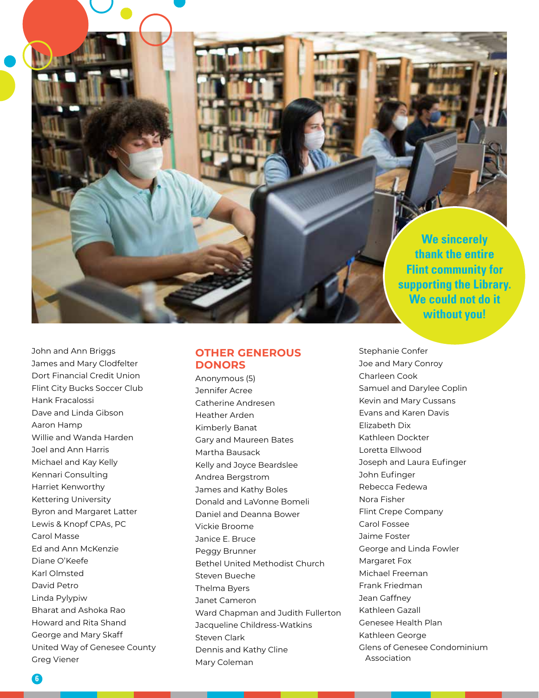**We sincerely thank the entire Flint community for supporting the Library. We could not do it without you!**

John and Ann Briggs James and Mary Clodfelter Dort Financial Credit Union Flint City Bucks Soccer Club Hank Fracalossi Dave and Linda Gibson Aaron Hamp Willie and Wanda Harden Joel and Ann Harris Michael and Kay Kelly Kennari Consulting Harriet Kenworthy Kettering University Byron and Margaret Latter Lewis & Knopf CPAs, PC Carol Masse Ed and Ann McKenzie Diane O'Keefe Karl Olmsted David Petro Linda Pylypiw Bharat and Ashoka Rao Howard and Rita Shand George and Mary Skaff United Way of Genesee County Greg Viener

## **OTHER GENEROUS DONORS**

Anonymous (5) Jennifer Acree Catherine Andresen Heather Arden Kimberly Banat Gary and Maureen Bates Martha Bausack Kelly and Joyce Beardslee Andrea Bergstrom James and Kathy Boles Donald and LaVonne Bomeli Daniel and Deanna Bower Vickie Broome Janice E. Bruce Peggy Brunner Bethel United Methodist Church Steven Bueche Thelma Byers Janet Cameron Ward Chapman and Judith Fullerton Jacqueline Childress-Watkins Steven Clark Dennis and Kathy Cline Mary Coleman

Stephanie Confer Joe and Mary Conroy Charleen Cook Samuel and Darylee Coplin Kevin and Mary Cussans Evans and Karen Davis Elizabeth Dix Kathleen Dockter Loretta Ellwood Joseph and Laura Eufinger John Eufinger Rebecca Fedewa Nora Fisher Flint Crepe Company Carol Fossee Jaime Foster George and Linda Fowler Margaret Fox Michael Freeman Frank Friedman Jean Gaffney Kathleen Gazall Genesee Health Plan Kathleen George Glens of Genesee Condominium Association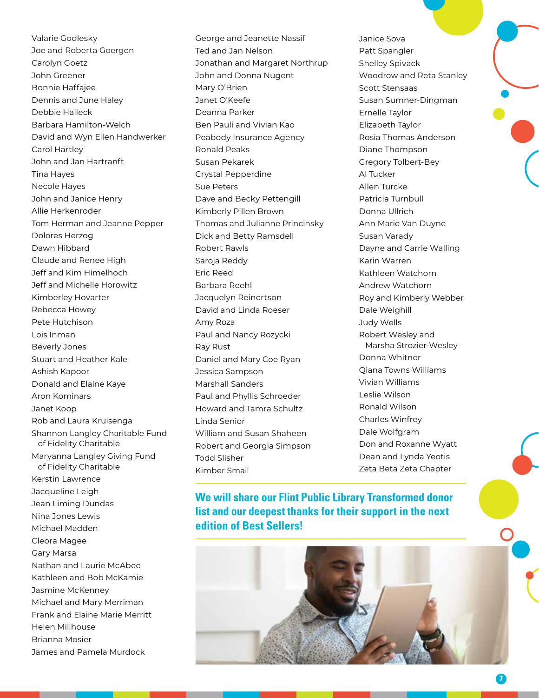Valarie Godlesky Joe and Roberta Goergen Carolyn Goetz John Greener Bonnie Haffajee Dennis and June Haley Debbie Halleck Barbara Hamilton-Welch David and Wyn Ellen Handwerker Carol Hartley John and Jan Hartranft Tina Hayes Necole Hayes John and Janice Henry Allie Herkenroder Tom Herman and Jeanne Pepper Dolores Herzog Dawn Hibbard Claude and Renee High Jeff and Kim Himelhoch Jeff and Michelle Horowitz Kimberley Hovarter Rebecca Howey Pete Hutchison Lois Inman Beverly Jones Stuart and Heather Kale Ashish Kapoor Donald and Elaine Kaye Aron Kominars Janet Koop Rob and Laura Kruisenga Shannon Langley Charitable Fund of Fidelity Charitable Maryanna Langley Giving Fund of Fidelity Charitable Kerstin Lawrence Jacqueline Leigh Jean Liming Dundas Nina Jones Lewis Michael Madden Cleora Magee Gary Marsa Nathan and Laurie McAbee Kathleen and Bob McKamie Jasmine McKenney Michael and Mary Merriman Frank and Elaine Marie Merritt Helen Millhouse Brianna Mosier James and Pamela Murdock

George and Jeanette Nassif Ted and Jan Nelson Jonathan and Margaret Northrup John and Donna Nugent Mary O'Brien Janet O'Keefe Deanna Parker Ben Pauli and Vivian Kao Peabody Insurance Agency Ronald Peaks Susan Pekarek Crystal Pepperdine Sue Peters Dave and Becky Pettengill Kimberly Pillen Brown Thomas and Julianne Princinsky Dick and Betty Ramsdell Robert Rawls Saroja Reddy Eric Reed Barbara Reehl Jacquelyn Reinertson David and Linda Roeser Amy Roza Paul and Nancy Rozycki Ray Rust Daniel and Mary Coe Ryan Jessica Sampson Marshall Sanders Paul and Phyllis Schroeder Howard and Tamra Schultz Linda Senior William and Susan Shaheen Robert and Georgia Simpson Todd Slisher Kimber Smail

Janice Sova Patt Spangler Shelley Spivack Woodrow and Reta Stanley Scott Stensaas Susan Sumner-Dingman Ernelle Taylor Elizabeth Taylor Rosia Thomas Anderson Diane Thompson Gregory Tolbert-Bey Al Tucker Allen Turcke Patricia Turnbull Donna Ullrich Ann Marie Van Duyne Susan Varady Dayne and Carrie Walling Karin Warren Kathleen Watchorn Andrew Watchorn Roy and Kimberly Webber Dale Weighill Judy Wells Robert Wesley and Marsha Strozier-Wesley Donna Whitner Qiana Towns Williams Vivian Williams Leslie Wilson Ronald Wilson Charles Winfrey Dale Wolfgram Don and Roxanne Wyatt Dean and Lynda Yeotis Zeta Beta Zeta Chapter

**We will share our Flint Public Library Transformed donor list and our deepest thanks for their support in the next edition of Best Sellers!** 



**7**